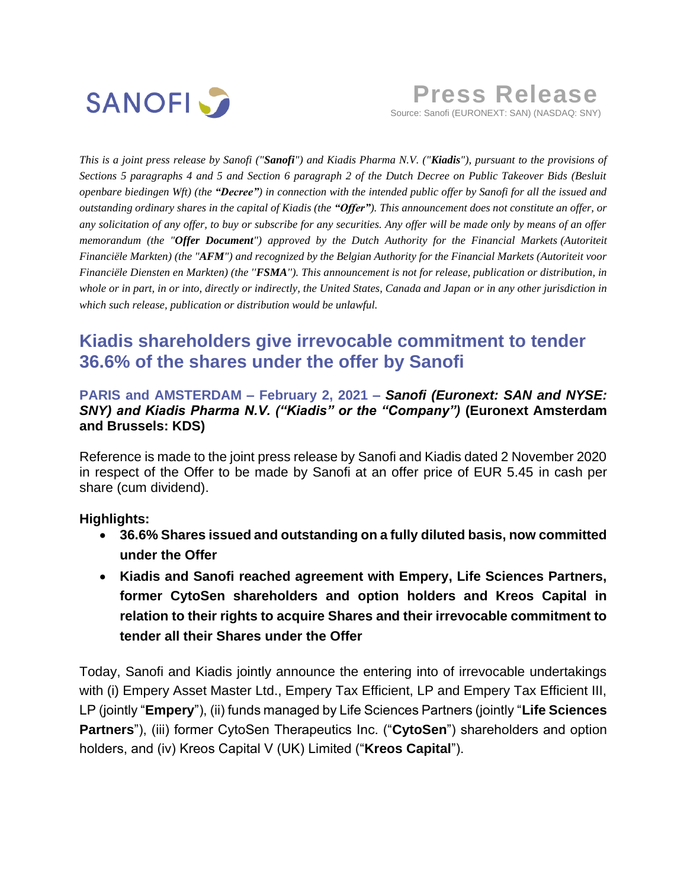

*This is a joint press release by Sanofi ("Sanofi") and Kiadis Pharma N.V. ("Kiadis"), pursuant to the provisions of Sections 5 paragraphs 4 and 5 and Section 6 paragraph 2 of the Dutch Decree on Public Takeover Bids (Besluit openbare biedingen Wft) (the "Decree") in connection with the intended public offer by Sanofi for all the issued and outstanding ordinary shares in the capital of Kiadis (the "Offer"). This announcement does not constitute an offer, or any solicitation of any offer, to buy or subscribe for any securities. Any offer will be made only by means of an offer memorandum (the "Offer Document") approved by the Dutch Authority for the Financial Markets (Autoriteit Financiële Markten) (the "AFM") and recognized by the Belgian Authority for the Financial Markets (Autoriteit voor Financiële Diensten en Markten) (the ''FSMA''). This announcement is not for release, publication or distribution, in whole or in part, in or into, directly or indirectly, the United States, Canada and Japan or in any other jurisdiction in which such release, publication or distribution would be unlawful.*

# **Kiadis shareholders give irrevocable commitment to tender 36.6% of the shares under the offer by Sanofi**

#### **PARIS and AMSTERDAM – February 2, 2021 –** *Sanofi (Euronext: SAN and NYSE: SNY) and Kiadis Pharma N.V. ("Kiadis" or the "Company")* **(Euronext Amsterdam and Brussels: KDS)**

Reference is made to the joint press release by Sanofi and Kiadis dated 2 November 2020 in respect of the Offer to be made by Sanofi at an offer price of EUR 5.45 in cash per share (cum dividend).

#### **Highlights:**

- **36.6% Shares issued and outstanding on a fully diluted basis, now committed under the Offer**
- **Kiadis and Sanofi reached agreement with Empery, Life Sciences Partners, former CytoSen shareholders and option holders and Kreos Capital in relation to their rights to acquire Shares and their irrevocable commitment to tender all their Shares under the Offer**

Today, Sanofi and Kiadis jointly announce the entering into of irrevocable undertakings with (i) Empery Asset Master Ltd., Empery Tax Efficient, LP and Empery Tax Efficient III, LP (jointly "**Empery**"), (ii) funds managed by Life Sciences Partners (jointly "**Life Sciences Partners**"), (iii) former CytoSen Therapeutics Inc. ("**CytoSen**") shareholders and option holders, and (iv) Kreos Capital V (UK) Limited ("**Kreos Capital**").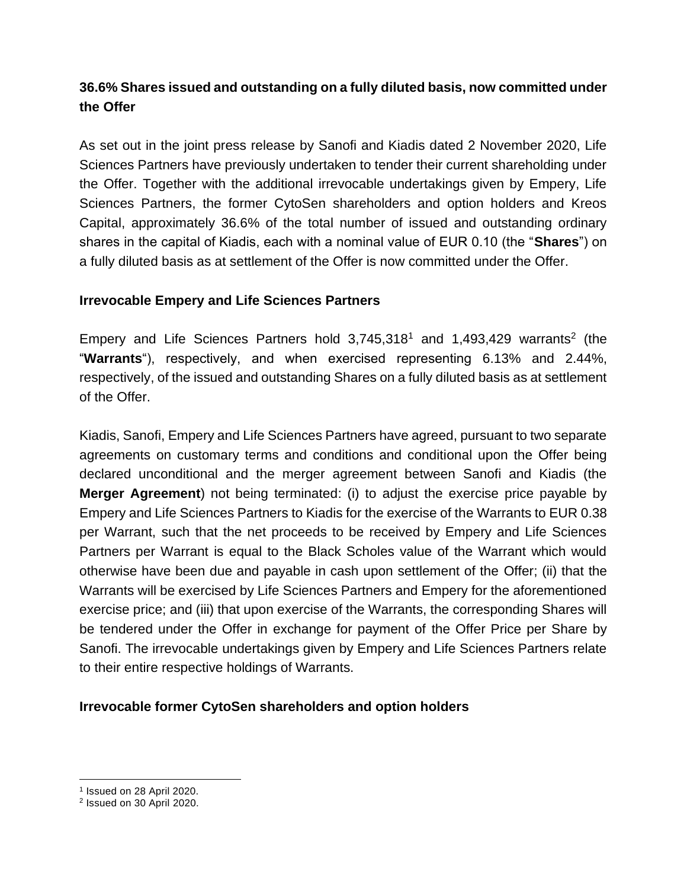# **36.6% Shares issued and outstanding on a fully diluted basis, now committed under the Offer**

As set out in the joint press release by Sanofi and Kiadis dated 2 November 2020, Life Sciences Partners have previously undertaken to tender their current shareholding under the Offer. Together with the additional irrevocable undertakings given by Empery, Life Sciences Partners, the former CytoSen shareholders and option holders and Kreos Capital, approximately 36.6% of the total number of issued and outstanding ordinary shares in the capital of Kiadis, each with a nominal value of EUR 0.10 (the "**Shares**") on a fully diluted basis as at settlement of the Offer is now committed under the Offer.

### **Irrevocable Empery and Life Sciences Partners**

Empery and Life Sciences Partners hold  $3,745,318^1$  and  $1,493,429$  warrants<sup>2</sup> (the "**Warrants**"), respectively, and when exercised representing 6.13% and 2.44%, respectively, of the issued and outstanding Shares on a fully diluted basis as at settlement of the Offer.

Kiadis, Sanofi, Empery and Life Sciences Partners have agreed, pursuant to two separate agreements on customary terms and conditions and conditional upon the Offer being declared unconditional and the merger agreement between Sanofi and Kiadis (the **Merger Agreement**) not being terminated: (i) to adjust the exercise price payable by Empery and Life Sciences Partners to Kiadis for the exercise of the Warrants to EUR 0.38 per Warrant, such that the net proceeds to be received by Empery and Life Sciences Partners per Warrant is equal to the Black Scholes value of the Warrant which would otherwise have been due and payable in cash upon settlement of the Offer; (ii) that the Warrants will be exercised by Life Sciences Partners and Empery for the aforementioned exercise price; and (iii) that upon exercise of the Warrants, the corresponding Shares will be tendered under the Offer in exchange for payment of the Offer Price per Share by Sanofi. The irrevocable undertakings given by Empery and Life Sciences Partners relate to their entire respective holdings of Warrants.

### **Irrevocable former CytoSen shareholders and option holders**

<sup>1</sup> Issued on 28 April 2020.

<sup>2</sup> Issued on 30 April 2020.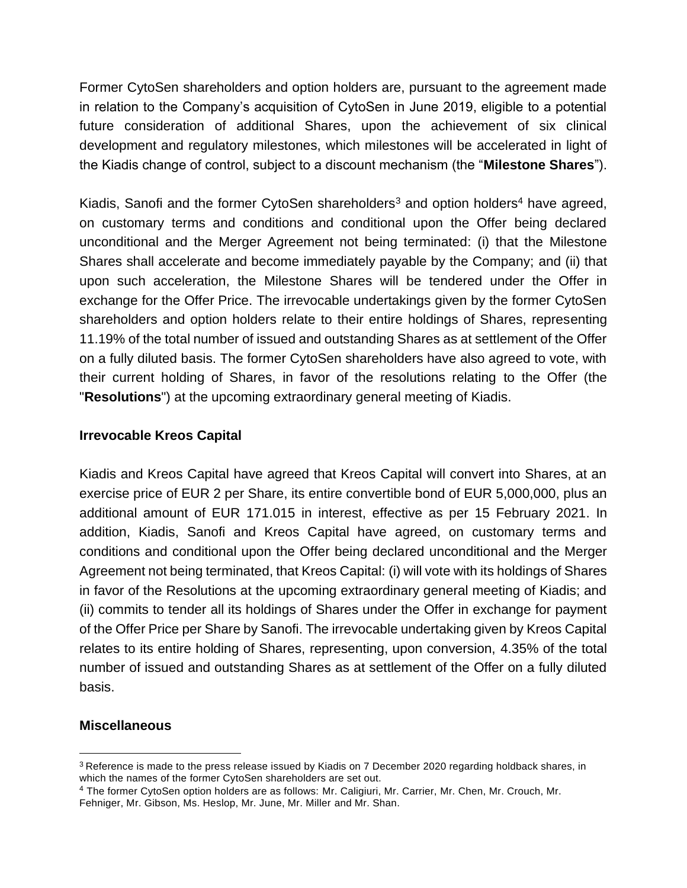Former CytoSen shareholders and option holders are, pursuant to the agreement made in relation to the Company's acquisition of CytoSen in June 2019, eligible to a potential future consideration of additional Shares, upon the achievement of six clinical development and regulatory milestones, which milestones will be accelerated in light of the Kiadis change of control, subject to a discount mechanism (the "**Milestone Shares**").

Kiadis, Sanofi and the former CytoSen shareholders<sup>3</sup> and option holders<sup>4</sup> have agreed, on customary terms and conditions and conditional upon the Offer being declared unconditional and the Merger Agreement not being terminated: (i) that the Milestone Shares shall accelerate and become immediately payable by the Company; and (ii) that upon such acceleration, the Milestone Shares will be tendered under the Offer in exchange for the Offer Price. The irrevocable undertakings given by the former CytoSen shareholders and option holders relate to their entire holdings of Shares, representing 11.19% of the total number of issued and outstanding Shares as at settlement of the Offer on a fully diluted basis. The former CytoSen shareholders have also agreed to vote, with their current holding of Shares, in favor of the resolutions relating to the Offer (the "**Resolutions**") at the upcoming extraordinary general meeting of Kiadis.

#### **Irrevocable Kreos Capital**

Kiadis and Kreos Capital have agreed that Kreos Capital will convert into Shares, at an exercise price of EUR 2 per Share, its entire convertible bond of EUR 5,000,000, plus an additional amount of EUR 171.015 in interest, effective as per 15 February 2021. In addition, Kiadis, Sanofi and Kreos Capital have agreed, on customary terms and conditions and conditional upon the Offer being declared unconditional and the Merger Agreement not being terminated, that Kreos Capital: (i) will vote with its holdings of Shares in favor of the Resolutions at the upcoming extraordinary general meeting of Kiadis; and (ii) commits to tender all its holdings of Shares under the Offer in exchange for payment of the Offer Price per Share by Sanofi. The irrevocable undertaking given by Kreos Capital relates to its entire holding of Shares, representing, upon conversion, 4.35% of the total number of issued and outstanding Shares as at settlement of the Offer on a fully diluted basis.

### **Miscellaneous**

 $3$  Reference is made to the press release issued by Kiadis on 7 December 2020 regarding holdback shares, in which the names of the former CytoSen shareholders are set out.

<sup>4</sup> The former CytoSen option holders are as follows: Mr. Caligiuri, Mr. Carrier, Mr. Chen, Mr. Crouch, Mr. Fehniger, Mr. Gibson, Ms. Heslop, Mr. June, Mr. Miller and Mr. Shan.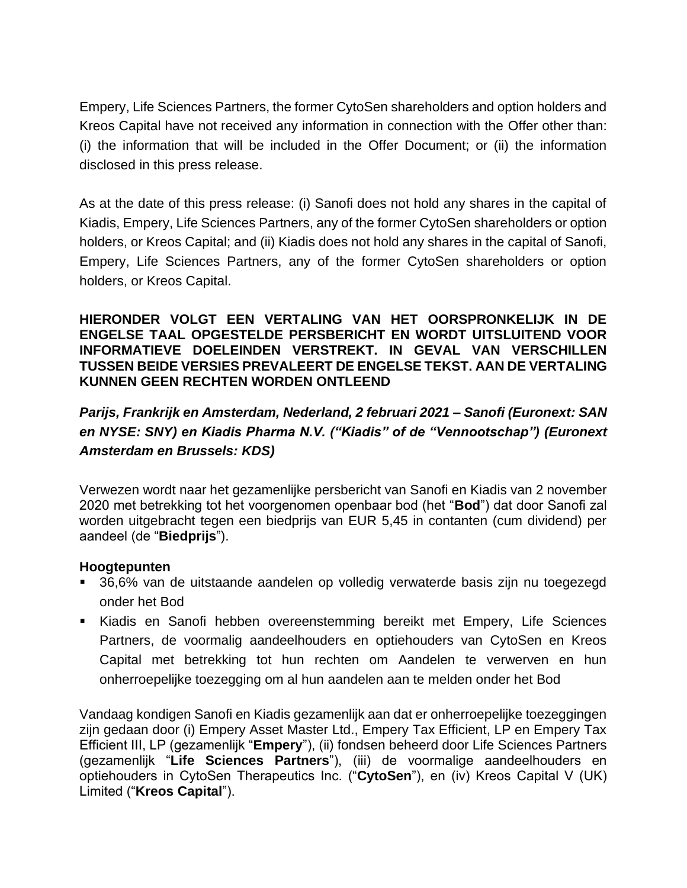Empery, Life Sciences Partners, the former CytoSen shareholders and option holders and Kreos Capital have not received any information in connection with the Offer other than: (i) the information that will be included in the Offer Document; or (ii) the information disclosed in this press release.

As at the date of this press release: (i) Sanofi does not hold any shares in the capital of Kiadis, Empery, Life Sciences Partners, any of the former CytoSen shareholders or option holders, or Kreos Capital; and (ii) Kiadis does not hold any shares in the capital of Sanofi, Empery, Life Sciences Partners, any of the former CytoSen shareholders or option holders, or Kreos Capital.

**HIERONDER VOLGT EEN VERTALING VAN HET OORSPRONKELIJK IN DE ENGELSE TAAL OPGESTELDE PERSBERICHT EN WORDT UITSLUITEND VOOR INFORMATIEVE DOELEINDEN VERSTREKT. IN GEVAL VAN VERSCHILLEN TUSSEN BEIDE VERSIES PREVALEERT DE ENGELSE TEKST. AAN DE VERTALING KUNNEN GEEN RECHTEN WORDEN ONTLEEND**

*Parijs, Frankrijk en Amsterdam, Nederland, 2 februari 2021 – Sanofi (Euronext: SAN en NYSE: SNY) en Kiadis Pharma N.V. ("Kiadis" of de "Vennootschap") (Euronext Amsterdam en Brussels: KDS)*

Verwezen wordt naar het gezamenlijke persbericht van Sanofi en Kiadis van 2 november 2020 met betrekking tot het voorgenomen openbaar bod (het "**Bod**") dat door Sanofi zal worden uitgebracht tegen een biedprijs van EUR 5,45 in contanten (cum dividend) per aandeel (de "**Biedprijs**").

#### **Hoogtepunten**

- 36,6% van de uitstaande aandelen op volledig verwaterde basis zijn nu toegezegd onder het Bod
- Kiadis en Sanofi hebben overeenstemming bereikt met Empery, Life Sciences Partners, de voormalig aandeelhouders en optiehouders van CytoSen en Kreos Capital met betrekking tot hun rechten om Aandelen te verwerven en hun onherroepelijke toezegging om al hun aandelen aan te melden onder het Bod

Vandaag kondigen Sanofi en Kiadis gezamenlijk aan dat er onherroepelijke toezeggingen zijn gedaan door (i) Empery Asset Master Ltd., Empery Tax Efficient, LP en Empery Tax Efficient III, LP (gezamenlijk "**Empery**"), (ii) fondsen beheerd door Life Sciences Partners (gezamenlijk "**Life Sciences Partners**"), (iii) de voormalige aandeelhouders en optiehouders in CytoSen Therapeutics Inc. ("**CytoSen**"), en (iv) Kreos Capital V (UK) Limited ("**Kreos Capital**").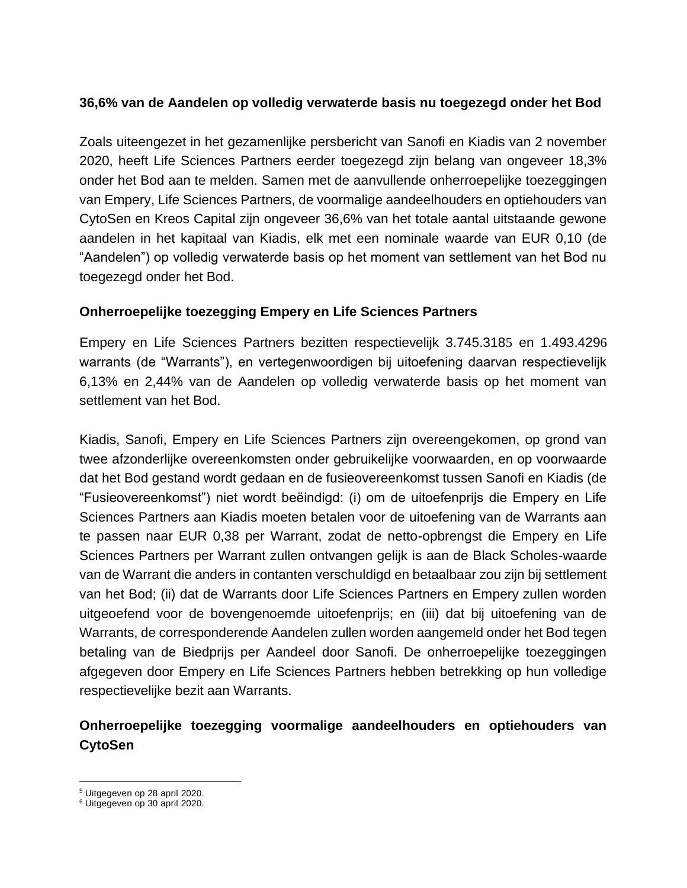### **36,6% van de Aandelen op volledig verwaterde basis nu toegezegd onder het Bod**

Zoals uiteengezet in het gezamenlijke persbericht van Sanofi en Kiadis van 2 november 2020, heeft Life Sciences Partners eerder toegezegd zijn belang van ongeveer 18,3% onder het Bod aan te melden. Samen met de aanvullende onherroepelijke toezeggingen van Empery, Life Sciences Partners, de voormalige aandeelhouders en optiehouders van CytoSen en Kreos Capital zijn ongeveer 36,6% van het totale aantal uitstaande gewone aandelen in het kapitaal van Kiadis, elk met een nominale waarde van EUR 0,10 (de "Aandelen") op volledig verwaterde basis op het moment van settlement van het Bod nu toegezegd onder het Bod.

### **Onherroepelijke toezegging Empery en Life Sciences Partners**

Empery en Life Sciences Partners bezitten respectievelijk 3.745.3185 en 1.493.4296 warrants (de "Warrants"), en vertegenwoordigen bij uitoefening daarvan respectievelijk 6,13% en 2,44% van de Aandelen op volledig verwaterde basis op het moment van settlement van het Bod.

Kiadis, Sanofi, Empery en Life Sciences Partners zijn overeengekomen, op grond van twee afzonderlijke overeenkomsten onder gebruikelijke voorwaarden, en op voorwaarde dat het Bod gestand wordt gedaan en de fusieovereenkomst tussen Sanofi en Kiadis (de "Fusieovereenkomst") niet wordt beëindigd: (i) om de uitoefenprijs die Empery en Life Sciences Partners aan Kiadis moeten betalen voor de uitoefening van de Warrants aan te passen naar EUR 0,38 per Warrant, zodat de netto-opbrengst die Empery en Life Sciences Partners per Warrant zullen ontvangen gelijk is aan de Black Scholes-waarde van de Warrant die anders in contanten verschuldigd en betaalbaar zou zijn bij settlement van het Bod; (ii) dat de Warrants door Life Sciences Partners en Empery zullen worden uitgeoefend voor de bovengenoemde uitoefenprijs; en (iii) dat bij uitoefening van de Warrants, de corresponderende Aandelen zullen worden aangemeld onder het Bod tegen betaling van de Biedprijs per Aandeel door Sanofi. De onherroepelijke toezeggingen afgegeven door Empery en Life Sciences Partners hebben betrekking op hun volledige respectievelijke bezit aan Warrants.

## **Onherroepelijke toezegging voormalige aandeelhouders en optiehouders van CytoSen**

<sup>5</sup> Uitgegeven op 28 april 2020.

<sup>6</sup> Uitgegeven op 30 april 2020.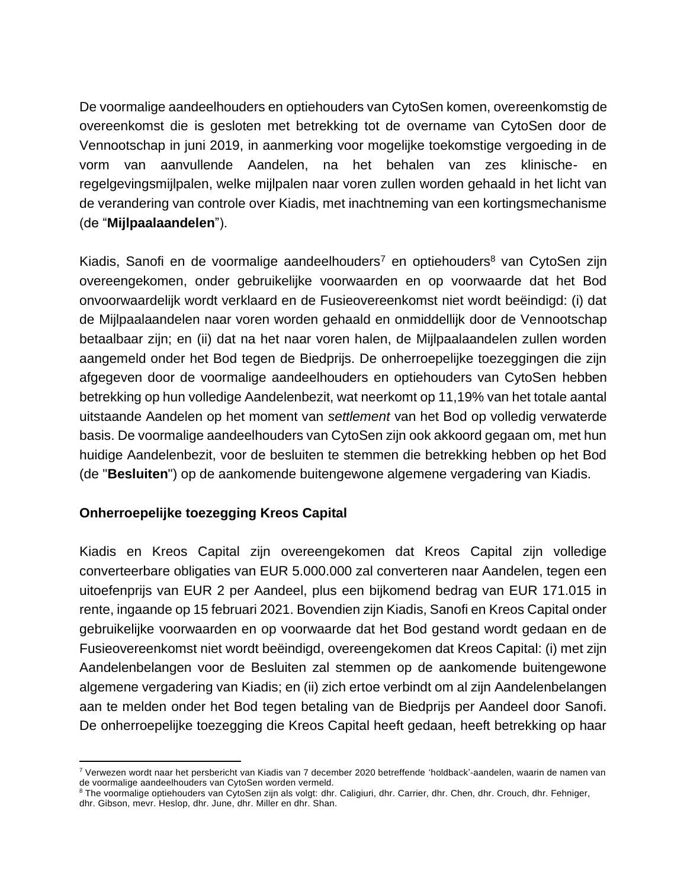De voormalige aandeelhouders en optiehouders van CytoSen komen, overeenkomstig de overeenkomst die is gesloten met betrekking tot de overname van CytoSen door de Vennootschap in juni 2019, in aanmerking voor mogelijke toekomstige vergoeding in de vorm van aanvullende Aandelen, na het behalen van zes klinische- en regelgevingsmijlpalen, welke mijlpalen naar voren zullen worden gehaald in het licht van de verandering van controle over Kiadis, met inachtneming van een kortingsmechanisme (de "**Mijlpaalaandelen**").

Kiadis, Sanofi en de voormalige aandeelhouders<sup>7</sup> en optiehouders<sup>8</sup> van CytoSen zijn overeengekomen, onder gebruikelijke voorwaarden en op voorwaarde dat het Bod onvoorwaardelijk wordt verklaard en de Fusieovereenkomst niet wordt beëindigd: (i) dat de Mijlpaalaandelen naar voren worden gehaald en onmiddellijk door de Vennootschap betaalbaar zijn; en (ii) dat na het naar voren halen, de Mijlpaalaandelen zullen worden aangemeld onder het Bod tegen de Biedprijs. De onherroepelijke toezeggingen die zijn afgegeven door de voormalige aandeelhouders en optiehouders van CytoSen hebben betrekking op hun volledige Aandelenbezit, wat neerkomt op 11,19% van het totale aantal uitstaande Aandelen op het moment van *settlement* van het Bod op volledig verwaterde basis. De voormalige aandeelhouders van CytoSen zijn ook akkoord gegaan om, met hun huidige Aandelenbezit, voor de besluiten te stemmen die betrekking hebben op het Bod (de "**Besluiten**") op de aankomende buitengewone algemene vergadering van Kiadis.

### **Onherroepelijke toezegging Kreos Capital**

Kiadis en Kreos Capital zijn overeengekomen dat Kreos Capital zijn volledige converteerbare obligaties van EUR 5.000.000 zal converteren naar Aandelen, tegen een uitoefenprijs van EUR 2 per Aandeel, plus een bijkomend bedrag van EUR 171.015 in rente, ingaande op 15 februari 2021. Bovendien zijn Kiadis, Sanofi en Kreos Capital onder gebruikelijke voorwaarden en op voorwaarde dat het Bod gestand wordt gedaan en de Fusieovereenkomst niet wordt beëindigd, overeengekomen dat Kreos Capital: (i) met zijn Aandelenbelangen voor de Besluiten zal stemmen op de aankomende buitengewone algemene vergadering van Kiadis; en (ii) zich ertoe verbindt om al zijn Aandelenbelangen aan te melden onder het Bod tegen betaling van de Biedprijs per Aandeel door Sanofi. De onherroepelijke toezegging die Kreos Capital heeft gedaan, heeft betrekking op haar

<sup>7</sup> Verwezen wordt naar het persbericht van Kiadis van 7 december 2020 betreffende 'holdback'-aandelen, waarin de namen van de voormalige aandeelhouders van CytoSen worden vermeld.

<sup>&</sup>lt;sup>8</sup> The voormalige optiehouders van CytoSen zijn als volgt: dhr. Caligiuri, dhr. Carrier, dhr. Chen, dhr. Crouch, dhr. Fehniger, dhr. Gibson, mevr. Heslop, dhr. June, dhr. Miller en dhr. Shan.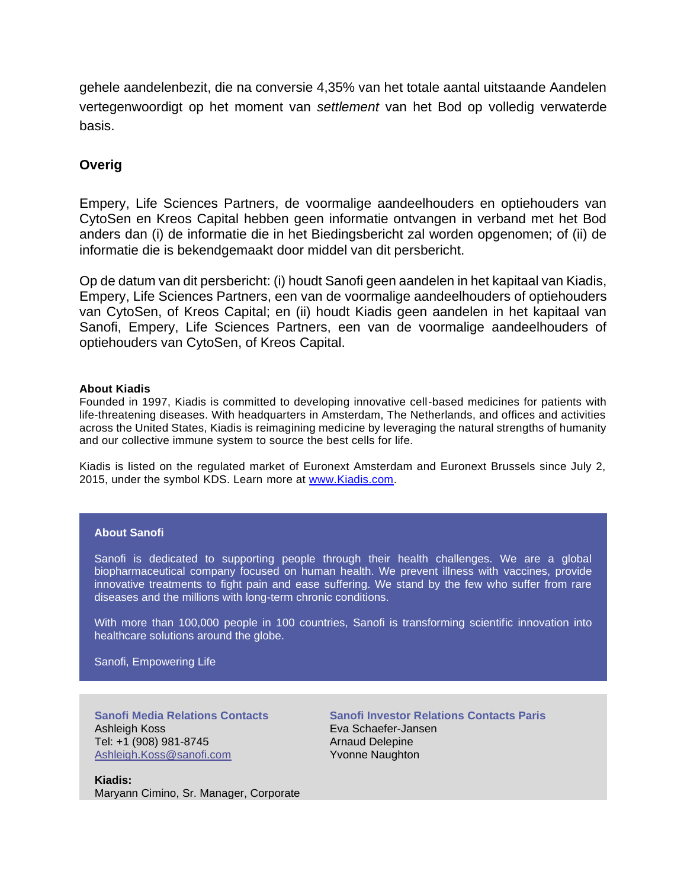gehele aandelenbezit, die na conversie 4,35% van het totale aantal uitstaande Aandelen vertegenwoordigt op het moment van *settlement* van het Bod op volledig verwaterde basis.

#### **Overig**

Empery, Life Sciences Partners, de voormalige aandeelhouders en optiehouders van CytoSen en Kreos Capital hebben geen informatie ontvangen in verband met het Bod anders dan (i) de informatie die in het Biedingsbericht zal worden opgenomen; of (ii) de informatie die is bekendgemaakt door middel van dit persbericht.

Op de datum van dit persbericht: (i) houdt Sanofi geen aandelen in het kapitaal van Kiadis, Empery, Life Sciences Partners, een van de voormalige aandeelhouders of optiehouders van CytoSen, of Kreos Capital; en (ii) houdt Kiadis geen aandelen in het kapitaal van Sanofi, Empery, Life Sciences Partners, een van de voormalige aandeelhouders of optiehouders van CytoSen, of Kreos Capital.

#### **About Kiadis**

Founded in 1997, Kiadis is committed to developing innovative cell-based medicines for patients with life-threatening diseases. With headquarters in Amsterdam, The Netherlands, and offices and activities across the United States, Kiadis is reimagining medicine by leveraging the natural strengths of humanity and our collective immune system to source the best cells for life.

Kiadis is listed on the regulated market of Euronext Amsterdam and Euronext Brussels since July 2, 2015, under the symbol KDS. Learn more at [www.Kiadis.com.](http://www.kiadis.com/)

#### **About Sanofi**

Sanofi is dedicated to supporting people through their health challenges. We are a global biopharmaceutical company focused on human health. We prevent illness with vaccines, provide innovative treatments to fight pain and ease suffering. We stand by the few who suffer from rare diseases and the millions with long-term chronic conditions.

With more than 100,000 people in 100 countries, Sanofi is transforming scientific innovation into healthcare solutions around the globe.

Sanofi, Empowering Life

**Sanofi Media Relations Contacts** Ashleigh Koss Tel: +1 (908) 981-8745 [Ashleigh.Koss@sanofi.com](mailto:Ashleigh.Koss@sanofi.com)

**Sanofi Investor Relations Contacts Paris** Eva Schaefer-Jansen Arnaud Delepine Yvonne Naughton

**Kiadis:** Maryann Cimino, Sr. Manager, Corporate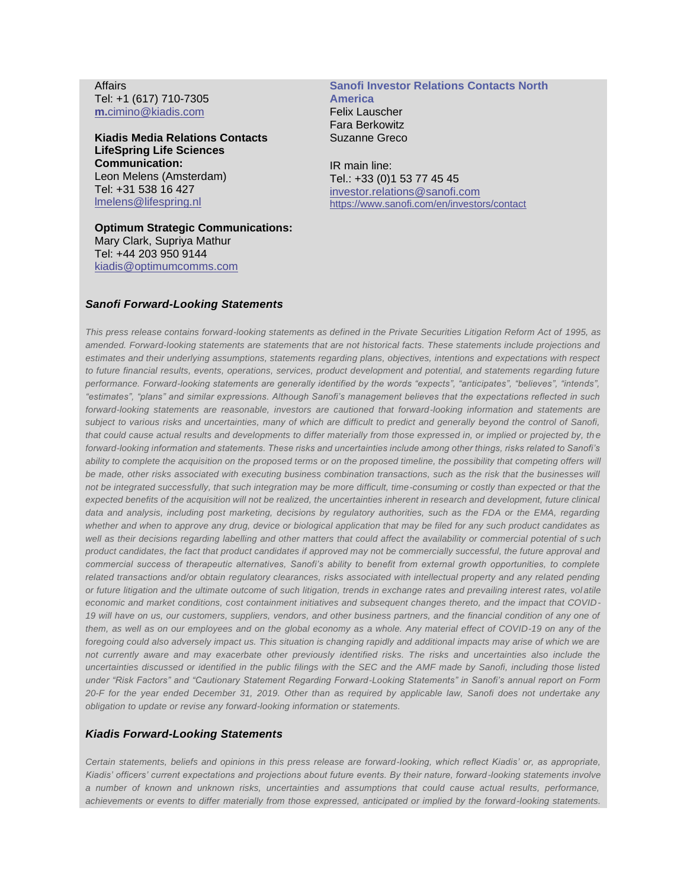Affairs Tel: +1 (617) 710-7305 **m.**[cimino@kiadis.com](mailto:m.cimino@kiadis.com)

**Kiadis Media Relations Contacts LifeSpring Life Sciences Communication:** Leon Melens (Amsterdam) Tel: +31 538 16 427 [lmelens@lifespring.nl](mailto:lmelens@lifespring.nl)

#### **Sanofi Investor Relations Contacts North America** Felix Lauscher

Fara Berkowitz Suzanne Greco

IR main line: Tel.: +33 (0)1 53 77 45 45 [investor.relations@sanofi.com](mailto:investor.relations@sanofi.com) https://www.sanofi.com/en/investors/contact

**Optimum Strategic Communications:** Mary Clark, Supriya Mathur Tel: +44 203 950 9144 [kiadis@optimumcomms.com](mailto:kiadis@optimumcomms.com)

#### *Sanofi Forward-Looking Statements*

*This press release contains forward-looking statements as defined in the Private Securities Litigation Reform Act of 1995, as amended. Forward-looking statements are statements that are not historical facts. These statements include projections and estimates and their underlying assumptions, statements regarding plans, objectives, intentions and expectations with respect to future financial results, events, operations, services, product development and potential, and statements regarding future performance. Forward-looking statements are generally identified by the words "expects", "anticipates", "believes", "intends", "estimates", "plans" and similar expressions. Although Sanofi's management believes that the expectations reflected in such forward-looking statements are reasonable, investors are cautioned that forward-looking information and statements are subject to various risks and uncertainties, many of which are difficult to predict and generally beyond the control of Sanofi, that could cause actual results and developments to differ materially from those expressed in, or implied or projected by, th e forward-looking information and statements. These risks and uncertainties include among other things, risks related to Sanofi's*  ability to complete the acquisition on the proposed terms or on the proposed timeline, the possibility that competing offers will *be made, other risks associated with executing business combination transactions, such as the risk that the businesses will not be integrated successfully, that such integration may be more difficult, time-consuming or costly than expected or that the expected benefits of the acquisition will not be realized, the uncertainties inherent in research and development, future clinical data and analysis, including post marketing, decisions by regulatory authorities, such as the FDA or the EMA, regarding whether and when to approve any drug, device or biological application that may be filed for any such product candidates as*  well as their decisions regarding labelling and other matters that could affect the availability or commercial potential of such *product candidates, the fact that product candidates if approved may not be commercially successful, the future approval and commercial success of therapeutic alternatives, Sanofi's ability to benefit from external growth opportunities, to complete related transactions and/or obtain regulatory clearances, risks associated with intellectual property and any related pending or future litigation and the ultimate outcome of such litigation, trends in exchange rates and prevailing interest rates, vol atile economic and market conditions, cost containment initiatives and subsequent changes thereto, and the impact that COVID-19 will have on us, our customers, suppliers, vendors, and other business partners, and the financial condition of any one of them, as well as on our employees and on the global economy as a whole. Any material effect of COVID-19 on any of the foregoing could also adversely impact us. This situation is changing rapidly and additional impacts may arise of which we are not currently aware and may exacerbate other previously identified risks. The risks and uncertainties also include the uncertainties discussed or identified in the public filings with the SEC and the AMF made by Sanofi, including those listed under "Risk Factors" and "Cautionary Statement Regarding Forward-Looking Statements" in Sanofi's annual report on Form 20-F for the year ended December 31, 2019. Other than as required by applicable law, Sanofi does not undertake any obligation to update or revise any forward-looking information or statements.*

#### *Kiadis Forward-Looking Statements*

*Certain statements, beliefs and opinions in this press release are forward-looking, which reflect Kiadis' or, as appropriate, Kiadis' officers' current expectations and projections about future events. By their nature, forward -looking statements involve a number of known and unknown risks, uncertainties and assumptions that could cause actual results, performance, achievements or events to differ materially from those expressed, anticipated or implied by the forward-looking statements.*